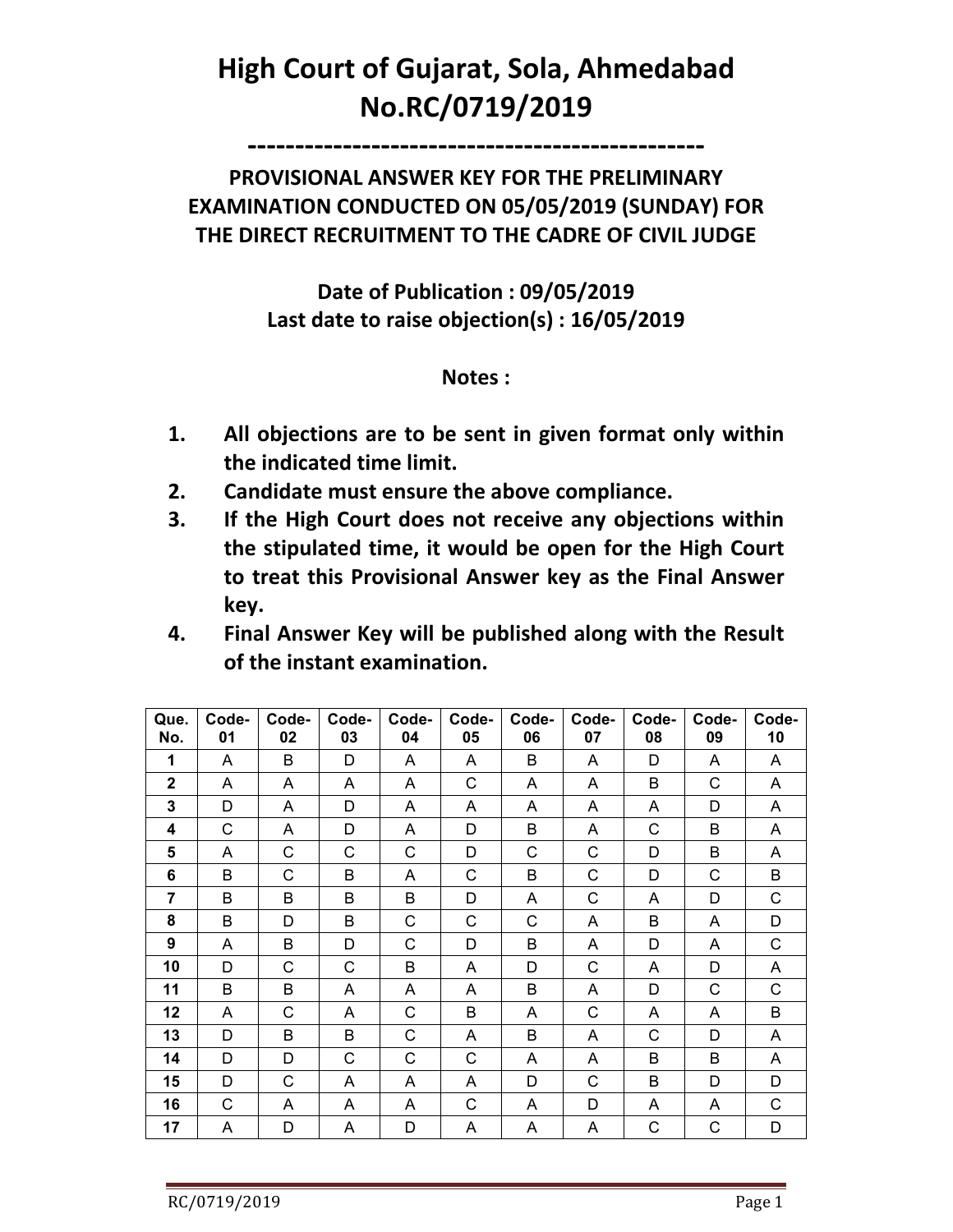## **High Court of Gujarat, Sola, Ahmedabad No.RC/0719/2019**

**------------------------------------------------** 

## **PROVISIONAL ANSWER KEY FOR THE PRELIMINARY EXAMINATION CONDUCTED ON 05/05/2019 (SUNDAY) FOR THE DIRECT RECRUITMENT TO THE CADRE OF CIVIL JUDGE**

**Date of Publication : 09/05/2019 Last date to raise objection(s) : 16/05/2019** 

**Notes :** 

- **1. All objections are to be sent in given format only within the indicated time limit.**
- **2. Candidate must ensure the above compliance.**
- **3. If the High Court does not receive any objections within the stipulated time, it would be open for the High Court to treat this Provisional Answer key as the Final Answer key.**
- **4. Final Answer Key will be published along with the Result of the instant examination.**

| Que.<br>No.    | Code-<br>01 | Code-<br>02 | Code-<br>03 | Code-<br>04 | Code-<br>05  | Code-<br>06 | Code-<br>07  | Code-<br>08 | Code-<br>09  | Code-<br>10 |
|----------------|-------------|-------------|-------------|-------------|--------------|-------------|--------------|-------------|--------------|-------------|
| 1              | A           | B           | D           | A           | A            | B           | A            | D           | A            | A           |
| $\mathbf 2$    | A           | A           | Α           | A           | $\mathsf{C}$ | A           | A            | B           | C            | A           |
| 3              | D           | A           | D           | A           | A            | A           | A            | A           | D            | A           |
| 4              | C           | A           | D           | A           | D            | B           | A            | C           | B            | A           |
| 5              | A           | C           | C           | C           | D            | C           | $\mathsf{C}$ | D           | B            | A           |
| 6              | B           | С           | B           | A           | $\mathsf{C}$ | B           | $\mathsf C$  | D           | C            | B           |
| $\overline{7}$ | B           | B           | B           | B           | D            | A           | $\mathsf C$  | A           | D            | C           |
| 8              | B           | D           | B           | C           | C            | C           | A            | B           | A            | D           |
| 9              | A           | B           | D           | C           | D            | B           | A            | D           | A            | C           |
| 10             | D           | С           | C           | В           | A            | D           | $\mathsf{C}$ | A           | D            | A           |
| 11             | B           | B           | A           | A           | A            | B           | A            | D           | C            | C           |
| 12             | A           | С           | A           | С           | B            | A           | $\mathsf{C}$ | A           | A            | B           |
| 13             | D           | В           | В           | C           | A            | B           | A            | C           | D            | A           |
| 14             | D           | D           | C           | C           | C            | A           | A            | B           | B            | A           |
| 15             | D           | C           | A           | A           | A            | D           | C            | B           | D            | D           |
| 16             | C           | A           | Α           | A           | C            | A           | D            | A           | A            | C           |
| 17             | A           | D           | A           | D           | A            | A           | A            | $\mathsf C$ | $\mathsf{C}$ | D           |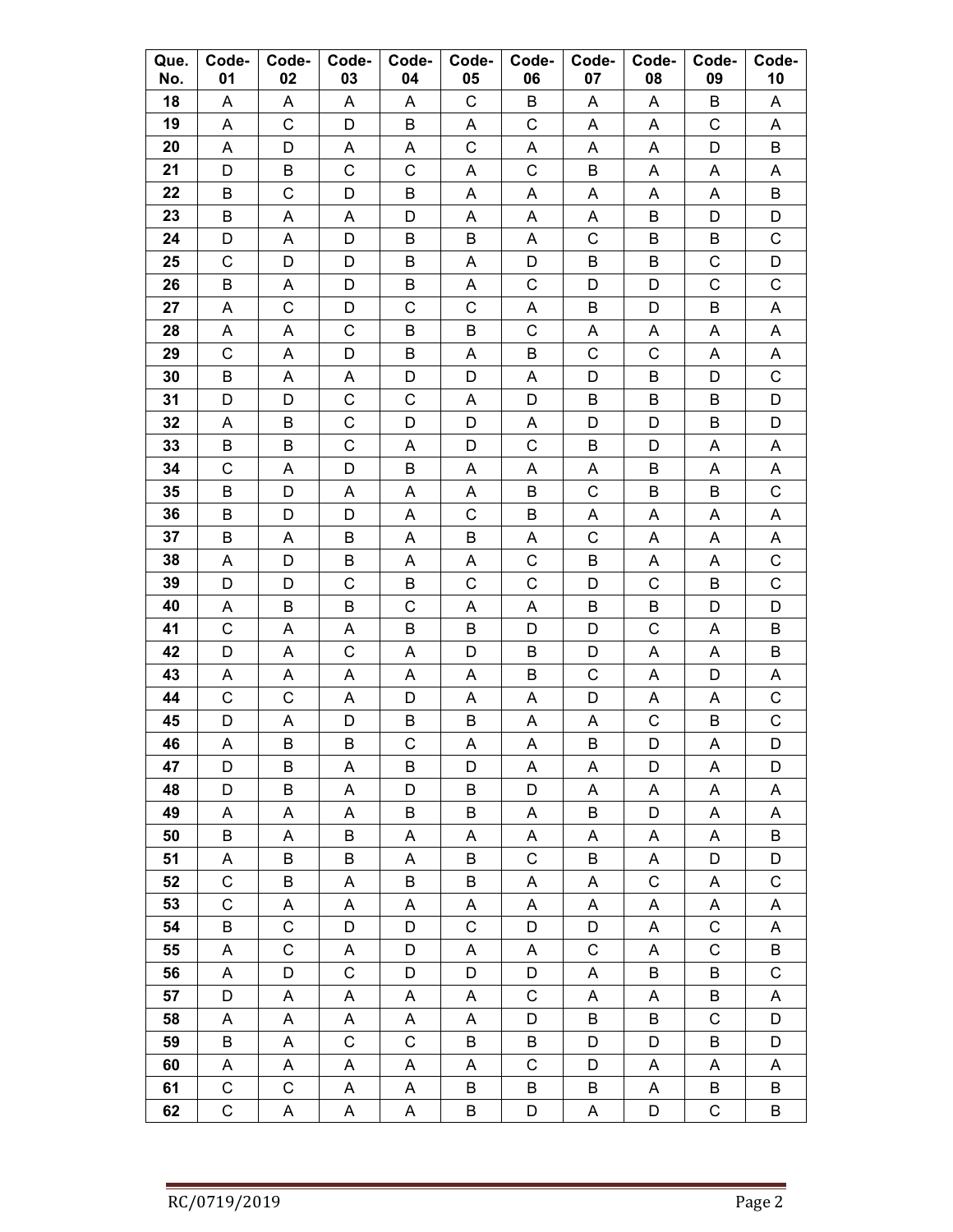| Que.<br>No. | Code-<br>01 | Code-<br>02  | Code-<br>03      | Code-<br>04 | Code-<br>05               | Code-<br>06      | Code-<br>07 | Code-<br>08      | Code-<br>09 | Code-<br>10      |
|-------------|-------------|--------------|------------------|-------------|---------------------------|------------------|-------------|------------------|-------------|------------------|
| 18          | A           | A            | A                | A           | C                         | B                | A           | A                | B           | A                |
| 19          | A           | C            | D                | B           | A                         | $\mathsf C$      | A           | A                | C           | A                |
| 20          | A           | D            | A                | A           | $\mathsf C$               | Α                | A           | Α                | D           | B                |
| 21          | D           | B            | С                | C           | Α                         | С                | B           | A                | Α           | A                |
| 22          | B           | C            | D                | B           | A                         | A                | A           | A                | A           | B                |
| 23          | B           | Α            | Α                | D           | A                         | Α                | Α           | B                | D           | D                |
| 24          | D           | Α            | D                | B           | B                         | A                | $\mathsf C$ | B                | B           | C                |
| 25          | C           | D            | D                | B           | Α                         | D                | B           | B                | С           | D                |
| 26          | B           | Α            | D                | B           | Α                         | C                | D           | D                | C           | C                |
| 27          | Α           | C            | D                | C           | $\mathsf C$               | Α                | B           | D                | Β           | Α                |
| 28          | Α           | А            | $\mathsf C$      | B           | B                         | $\mathsf C$      | Α           | Α                | Α           | A                |
| 29          | С           | A            | D                | B           | Α                         | B                | $\mathsf C$ | С                | Α           | Α                |
| 30          | B           | A            | A                | D           | D                         | A                | D           | B                | D           | C                |
| 31          | D           | D            | C                | $\mathsf C$ | A                         | D                | B           | B                | B           | D                |
| 32          | A           | B            | C                | D           | D                         | A                | D           | D                | B           | D                |
| 33          | B           | B            | $\mathsf C$      | Α           | D                         | C                | B           | D                | A           | A                |
| 34          | C           | Α            | D                | В           | Α                         | Α                | A           | B                | Α           | A                |
| 35          | B           | D            | A                | Α           | Α                         | B                | C           | B                | B           | С                |
| 36          | B           | D            | D                | Α           | $\mathsf C$               | B                | Α           | Α                | Α           | Α                |
| 37          | B           | Α            | B                | A           | B                         | A                | C           | A                | A           | A                |
| 38<br>39    | Α<br>D      | D<br>D       | B<br>$\mathsf C$ | Α<br>B      | A<br>$\mathsf C$          | C<br>$\mathsf C$ | В<br>D      | A<br>$\mathsf C$ | A<br>B      | С<br>$\mathsf C$ |
| 40          | Α           | B            | B                | $\mathsf C$ | Α                         | Α                | B           | B                | D           | D                |
| 41          | C           | Α            | A                | B           | B                         | D                | D           | С                | Α           | B                |
| 42          | D           | Α            | C                | Α           | D                         | B                | D           | A                | Α           | B                |
| 43          | A           | A            | A                | Α           | A                         | B                | C           | A                | D           | A                |
| 44          | C           | С            | A                | D           | A                         | A                | D           | Α                | A           | С                |
| 45          | D           | А            | D                | B           | В                         | Α                | Α           | С                | B           | C                |
| 46          | A           | B            | B                | C           | $\boldsymbol{\mathsf{A}}$ | $\mathsf A$      | B           | D                | A           | D                |
| 47          | D           | B            | A                | B           | D                         | A                | A           | D                | A           | D                |
| 48          | $\mathsf D$ | B            | A                | D           | B                         | D                | A           | A                | A           | A                |
| 49          | A           | A            | A                | B           | B                         | A                | B           | D                | A           | A                |
| 50          | B           | A            | B                | A           | A                         | A                | A           | A                | A           | B                |
| 51          | A           | B            | B                | A           | B                         | $\mathsf C$      | B           | A                | D           | D                |
| 52          | $\mathsf C$ | B            | A                | B           | B                         | A                | A           | $\mathsf C$      | Α           | $\mathsf C$      |
| 53          | $\mathsf C$ | A            | A                | A           | A                         | A                | A           | A                | A           | A                |
| 54          | B           | C            | D                | D           | $\mathsf C$               | D                | D           | A                | $\mathsf C$ | A                |
| 55          | A           | $\mathsf C$  | A                | D           | A                         | A                | $\mathsf C$ | A                | $\mathsf C$ | B                |
| 56          | A           | D            | $\mathsf C$      | D           | D                         | D                | A           | B                | B           | $\mathsf C$      |
| 57          | D           | A            | A                | A           | A                         | $\mathsf C$      | A           | A                | B           | A                |
| 58          | A           | A            | A                | A           | A                         | D                | B           | B                | $\mathsf C$ | D                |
| 59          | B           | A            | $\mathsf C$      | $\mathsf C$ | B                         | B                | D           | D                | B           | D                |
| 60          | A           | A            | A                | A           | A                         | $\mathsf C$      | D           | A                | Α           | A                |
| 61          | $\mathsf C$ | $\mathsf{C}$ | A                | A           | B                         | B                | B           | A                | B           | B                |
| 62          | C           | A            | A                | A           | B                         | D                | A           | D                | $\mathsf C$ | B                |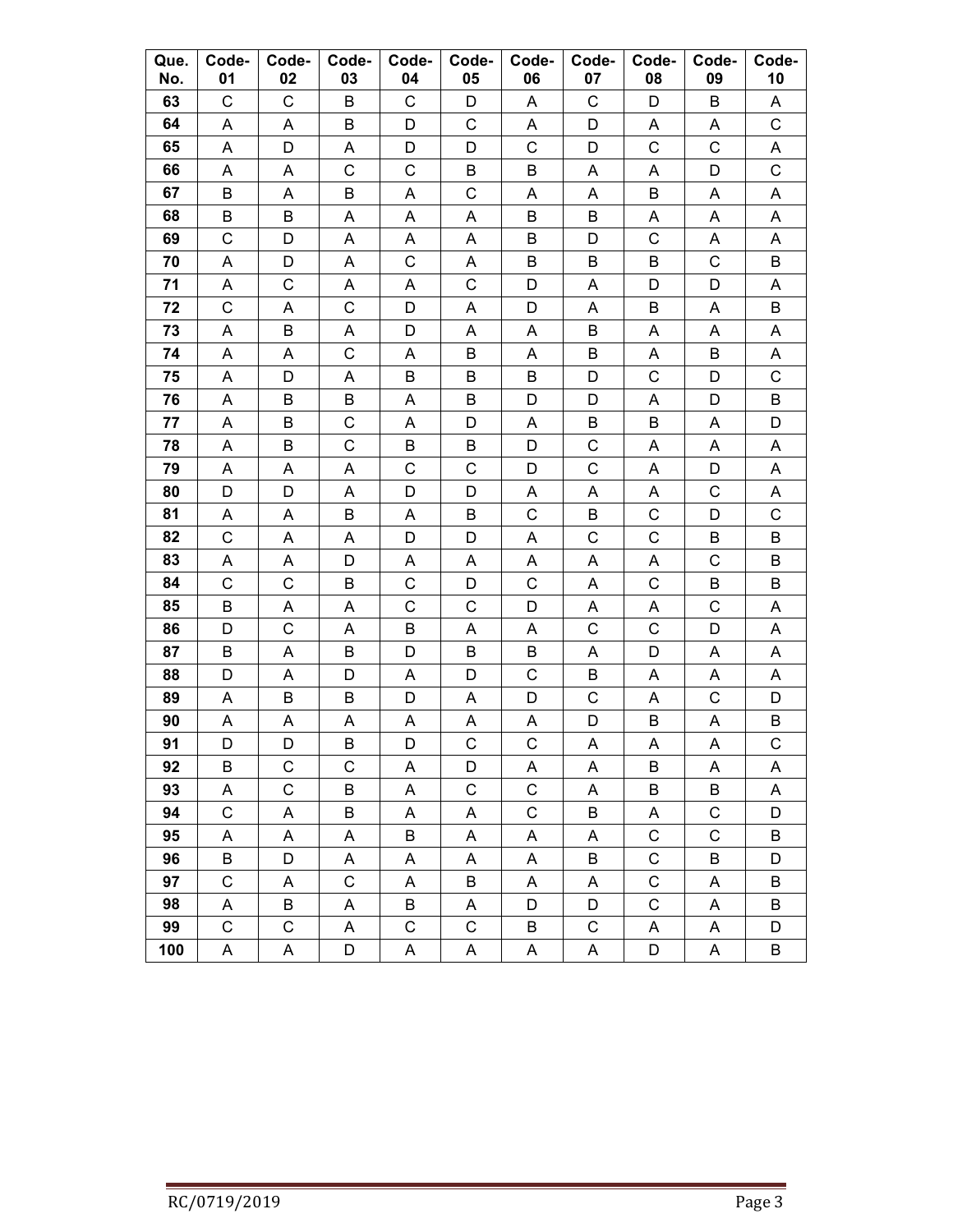| Que.<br>No. | Code-<br>01      | Code-<br>02      | Code-<br>03      | Code-<br>04  | Code-<br>05      | Code-<br>06  | Code-<br>07               | Code-<br>08                | Code-<br>09      | Code-<br>10  |
|-------------|------------------|------------------|------------------|--------------|------------------|--------------|---------------------------|----------------------------|------------------|--------------|
| 63          | C                | С                | B                | С            | D                | Α            | C                         | D                          | B                | Α            |
| 64          | Α                | Α                | B                | D            | $\mathsf C$      | А            | D                         | A                          | Α                | $\mathsf C$  |
| 65          | Α                | D                | A                | D            | D                | C            | D                         | $\mathsf C$                | C                | Α            |
| 66          | Α                | Α                | C                | C            | B                | B            | A                         | A                          | D                | C            |
| 67          | B                | A                | B                | A            | $\mathsf C$      | A            | A                         | Β                          | A                | A            |
| 68          | B                | B                | A                | A            | A                | B            | B                         | A                          | A                | Α            |
| 69          | C                | D                | A                | A            | A                | B            | D                         | $\mathsf C$                | A                | A            |
| 70          | Α                | D                | Α                | С            | Α                | B            | B                         | Β                          | C                | B            |
| 71          | Α                | $\mathsf C$      | A                | Α            | $\mathsf C$      | D            | A                         | D                          | D                | A            |
| 72          | C                | Α                | C                | D            | Α                | D            | A                         | B                          | Α                | B            |
| 73          | A                | B                | A                | D            | A                | A            | B                         | A                          | A                | A            |
| 74          | Α                | A                | С                | Α            | B                | А            | B                         | A                          | B                | Α            |
| 75          | A                | D                | A                | B            | B                | B            | D                         | C                          | D                | $\mathsf C$  |
| 76          | А                | B                | B                | Α            | B                | D            | D                         | Α                          | D                | B            |
| 77          | Α                | B                | C                | Α            | D                | А            | B                         | B                          | Α                | D            |
| 78          | A                | B                | C                | B            | B                | D            | $\mathsf C$               | Α                          | Α                | Α            |
| 79          | A                | Α                | A                | C            | C                | D            | $\mathsf C$               | A                          | D                | A            |
| 80          | D                | D                | A                | D            | D                | Α            | Α                         | Α                          | С                | Α            |
| 81          | Α                | A                | B                | Α            | B                | C            | B                         | $\mathsf C$                | D                | C            |
| 82          | C                | A                | A                | D            | D                | A            | $\mathsf C$               | $\mathsf C$                | B                | B            |
| 83          | Α                | A                | D                | A            | Α                | Α            | Α                         | A                          | C                | B            |
| 84          | C                | $\mathsf C$      | B                | C            | D                | C            | A                         | $\mathsf C$                | B                | B            |
| 85          | B                | Α                | Α                | C            | C                | D            | Α                         | A                          | С                | Α            |
| 86          | D                | $\mathsf C$      | A                | B            | A                | А            | $\mathsf C$               | C                          | D                | Α            |
| 87          | B                | Α                | B                | D            | B                | Β            | Α                         | D                          | Α                | Α            |
| 88          | D                | Α                | D                | Α            | D                | С            | B                         | A                          | A                | Α            |
| 89          | Α                | B                | B                | D            | Α                | D            | $\mathsf C$               | A                          | C                | D            |
| 90          | Α                | Α                | Α                | Α            | Α                | Α            | D                         | B                          | Α                | B            |
| 91          | D                | D                | B                | D            | $\mathsf{C}$     | $\mathsf{C}$ | $\boldsymbol{\mathsf{A}}$ | A                          | A                | $\mathsf{C}$ |
| 92          | B                | C<br>$\mathsf C$ | C                | A            | D<br>$\mathsf C$ | А            | A                         | В                          | A                | A            |
| 93          | A                |                  | B                | A            |                  | $\mathsf C$  | A                         | B                          | B                | A            |
| 94          | $\mathsf C$      | Α                | В                | A<br>$\sf B$ | A                | C            | B                         | A                          | C<br>$\mathsf C$ | D<br>$\sf B$ |
| 95          | A                | A                | A                |              | A                | Α            | A                         | $\mathsf C$                |                  |              |
| 96<br>97    | B<br>$\mathsf C$ | D<br>A           | A<br>$\mathsf C$ | Α<br>A       | Α<br>B           | Α<br>A       | B<br>A                    | $\mathsf C$<br>$\mathsf C$ | B                | D<br>B       |
| 98          |                  | B                | Α                | B            |                  |              | D                         |                            | Α                | Β            |
| 99          | А<br>С           | С                | A                | С            | A<br>C           | D<br>B       | C                         | С<br>A                     | Α<br>A           | D            |
| 100         | A                | A                | D                | A            | Α                | A            | A                         | D                          | Α                | B            |